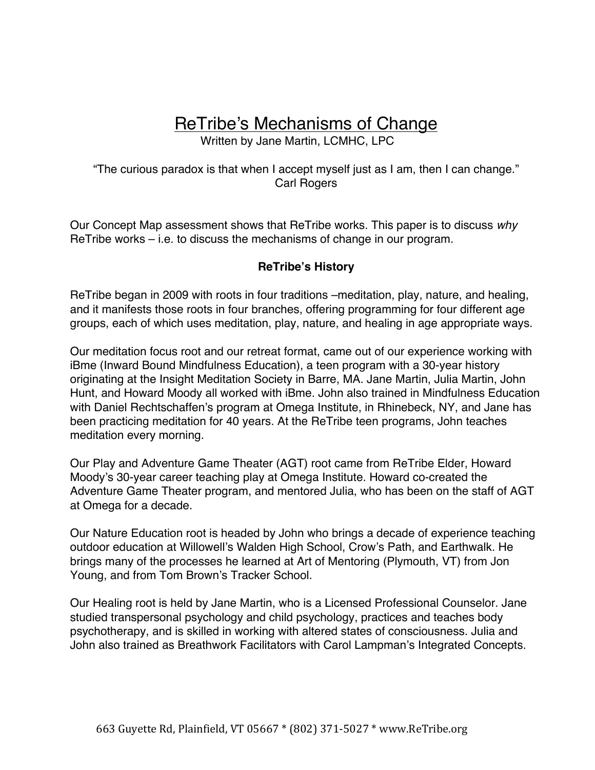# ReTribe's Mechanisms of Change

Written by Jane Martin, LCMHC, LPC

"The curious paradox is that when I accept myself just as I am, then I can change." Carl Rogers

Our Concept Map assessment shows that ReTribe works. This paper is to discuss *why* ReTribe works – i.e. to discuss the mechanisms of change in our program.

# **ReTribe's History**

ReTribe began in 2009 with roots in four traditions –meditation, play, nature, and healing, and it manifests those roots in four branches, offering programming for four different age groups, each of which uses meditation, play, nature, and healing in age appropriate ways.

Our meditation focus root and our retreat format, came out of our experience working with iBme (Inward Bound Mindfulness Education), a teen program with a 30-year history originating at the Insight Meditation Society in Barre, MA. Jane Martin, Julia Martin, John Hunt, and Howard Moody all worked with iBme. John also trained in Mindfulness Education with Daniel Rechtschaffen's program at Omega Institute, in Rhinebeck, NY, and Jane has been practicing meditation for 40 years. At the ReTribe teen programs, John teaches meditation every morning.

Our Play and Adventure Game Theater (AGT) root came from ReTribe Elder, Howard Moody's 30-year career teaching play at Omega Institute. Howard co-created the Adventure Game Theater program, and mentored Julia, who has been on the staff of AGT at Omega for a decade.

Our Nature Education root is headed by John who brings a decade of experience teaching outdoor education at Willowell's Walden High School, Crow's Path, and Earthwalk. He brings many of the processes he learned at Art of Mentoring (Plymouth, VT) from Jon Young, and from Tom Brown's Tracker School.

Our Healing root is held by Jane Martin, who is a Licensed Professional Counselor. Jane studied transpersonal psychology and child psychology, practices and teaches body psychotherapy, and is skilled in working with altered states of consciousness. Julia and John also trained as Breathwork Facilitators with Carol Lampman's Integrated Concepts.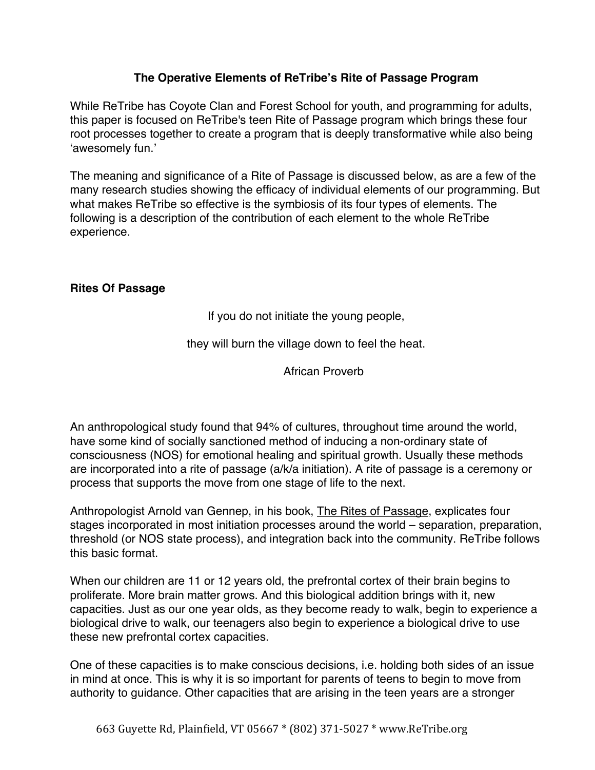## **The Operative Elements of ReTribe's Rite of Passage Program**

While ReTribe has Coyote Clan and Forest School for youth, and programming for adults, this paper is focused on ReTribe's teen Rite of Passage program which brings these four root processes together to create a program that is deeply transformative while also being 'awesomely fun.'

The meaning and significance of a Rite of Passage is discussed below, as are a few of the many research studies showing the efficacy of individual elements of our programming. But what makes ReTribe so effective is the symbiosis of its four types of elements. The following is a description of the contribution of each element to the whole ReTribe experience.

## **Rites Of Passage**

If you do not initiate the young people,

they will burn the village down to feel the heat.

African Proverb

An anthropological study found that 94% of cultures, throughout time around the world, have some kind of socially sanctioned method of inducing a non-ordinary state of consciousness (NOS) for emotional healing and spiritual growth. Usually these methods are incorporated into a rite of passage (a/k/a initiation). A rite of passage is a ceremony or process that supports the move from one stage of life to the next.

Anthropologist Arnold van Gennep, in his book, The Rites of Passage, explicates four stages incorporated in most initiation processes around the world – separation, preparation, threshold (or NOS state process), and integration back into the community. ReTribe follows this basic format.

When our children are 11 or 12 years old, the prefrontal cortex of their brain begins to proliferate. More brain matter grows. And this biological addition brings with it, new capacities. Just as our one year olds, as they become ready to walk, begin to experience a biological drive to walk, our teenagers also begin to experience a biological drive to use these new prefrontal cortex capacities.

One of these capacities is to make conscious decisions, i.e. holding both sides of an issue in mind at once. This is why it is so important for parents of teens to begin to move from authority to guidance. Other capacities that are arising in the teen years are a stronger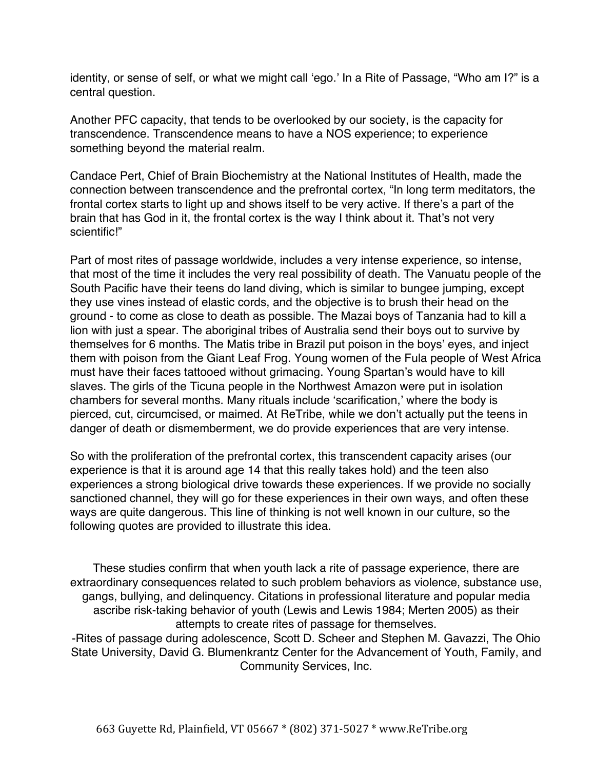identity, or sense of self, or what we might call 'ego.' In a Rite of Passage, "Who am I?" is a central question.

Another PFC capacity, that tends to be overlooked by our society, is the capacity for transcendence. Transcendence means to have a NOS experience; to experience something beyond the material realm.

Candace Pert, Chief of Brain Biochemistry at the National Institutes of Health, made the connection between transcendence and the prefrontal cortex, "In long term meditators, the frontal cortex starts to light up and shows itself to be very active. If there's a part of the brain that has God in it, the frontal cortex is the way I think about it. That's not very scientific!"

Part of most rites of passage worldwide, includes a very intense experience, so intense, that most of the time it includes the very real possibility of death. The Vanuatu people of the South Pacific have their teens do land diving, which is similar to bungee jumping, except they use vines instead of elastic cords, and the objective is to brush their head on the ground - to come as close to death as possible. The Mazai boys of Tanzania had to kill a lion with just a spear. The aboriginal tribes of Australia send their boys out to survive by themselves for 6 months. The Matis tribe in Brazil put poison in the boys' eyes, and inject them with poison from the Giant Leaf Frog. Young women of the Fula people of West Africa must have their faces tattooed without grimacing. Young Spartan's would have to kill slaves. The girls of the Ticuna people in the Northwest Amazon were put in isolation chambers for several months. Many rituals include 'scarification,' where the body is pierced, cut, circumcised, or maimed. At ReTribe, while we don't actually put the teens in danger of death or dismemberment, we do provide experiences that are very intense.

So with the proliferation of the prefrontal cortex, this transcendent capacity arises (our experience is that it is around age 14 that this really takes hold) and the teen also experiences a strong biological drive towards these experiences. If we provide no socially sanctioned channel, they will go for these experiences in their own ways, and often these ways are quite dangerous. This line of thinking is not well known in our culture, so the following quotes are provided to illustrate this idea.

These studies confirm that when youth lack a rite of passage experience, there are extraordinary consequences related to such problem behaviors as violence, substance use, gangs, bullying, and delinquency. Citations in professional literature and popular media ascribe risk-taking behavior of youth (Lewis and Lewis 1984; Merten 2005) as their attempts to create rites of passage for themselves. -Rites of passage during adolescence, Scott D. Scheer and Stephen M. Gavazzi, The Ohio State University, David G. Blumenkrantz Center for the Advancement of Youth, Family, and Community Services, Inc.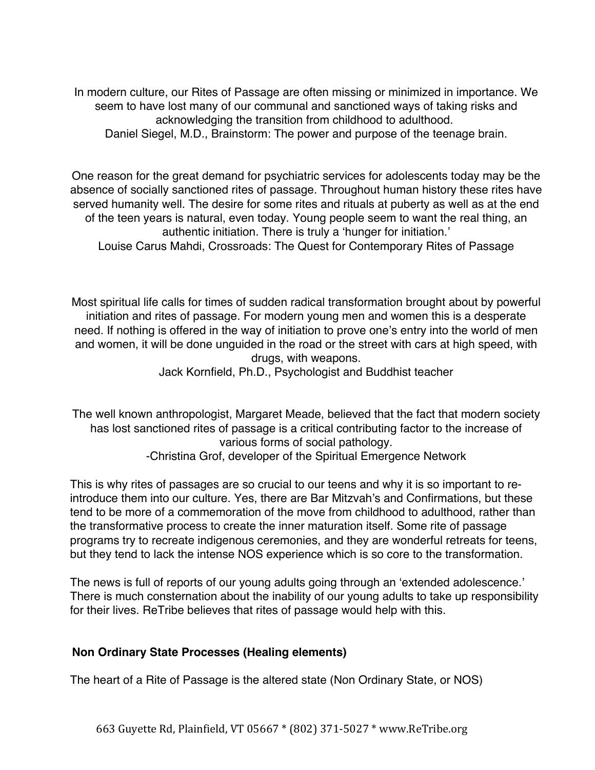In modern culture, our Rites of Passage are often missing or minimized in importance. We seem to have lost many of our communal and sanctioned ways of taking risks and acknowledging the transition from childhood to adulthood. Daniel Siegel, M.D., Brainstorm: The power and purpose of the teenage brain.

One reason for the great demand for psychiatric services for adolescents today may be the absence of socially sanctioned rites of passage. Throughout human history these rites have served humanity well. The desire for some rites and rituals at puberty as well as at the end of the teen years is natural, even today. Young people seem to want the real thing, an authentic initiation. There is truly a 'hunger for initiation.' Louise Carus Mahdi, Crossroads: The Quest for Contemporary Rites of Passage

Most spiritual life calls for times of sudden radical transformation brought about by powerful initiation and rites of passage. For modern young men and women this is a desperate need. If nothing is offered in the way of initiation to prove one's entry into the world of men and women, it will be done unguided in the road or the street with cars at high speed, with drugs, with weapons.

Jack Kornfield, Ph.D., Psychologist and Buddhist teacher

The well known anthropologist, Margaret Meade, believed that the fact that modern society has lost sanctioned rites of passage is a critical contributing factor to the increase of various forms of social pathology. -Christina Grof, developer of the Spiritual Emergence Network

This is why rites of passages are so crucial to our teens and why it is so important to reintroduce them into our culture. Yes, there are Bar Mitzvah's and Confirmations, but these tend to be more of a commemoration of the move from childhood to adulthood, rather than the transformative process to create the inner maturation itself. Some rite of passage programs try to recreate indigenous ceremonies, and they are wonderful retreats for teens, but they tend to lack the intense NOS experience which is so core to the transformation.

The news is full of reports of our young adults going through an 'extended adolescence.' There is much consternation about the inability of our young adults to take up responsibility for their lives. ReTribe believes that rites of passage would help with this.

# **Non Ordinary State Processes (Healing elements)**

The heart of a Rite of Passage is the altered state (Non Ordinary State, or NOS)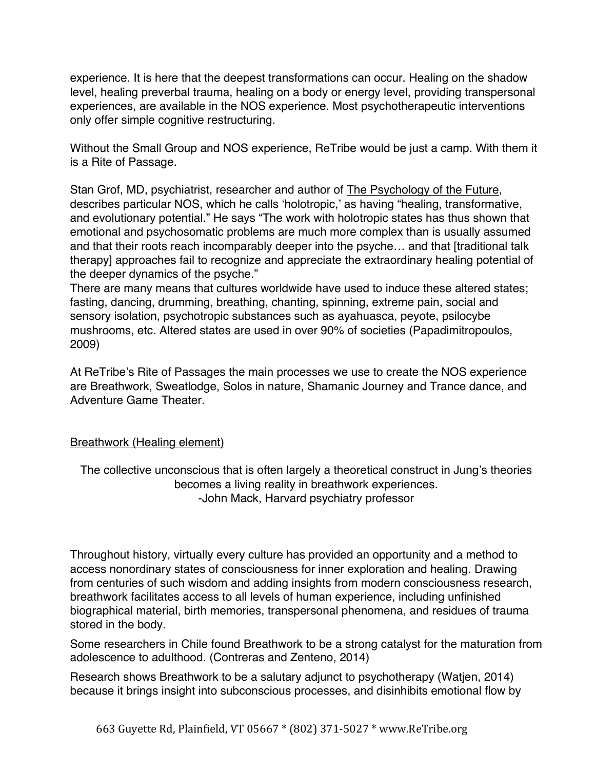experience. It is here that the deepest transformations can occur. Healing on the shadow level, healing preverbal trauma, healing on a body or energy level, providing transpersonal experiences, are available in the NOS experience. Most psychotherapeutic interventions only offer simple cognitive restructuring.

Without the Small Group and NOS experience, ReTribe would be just a camp. With them it is a Rite of Passage.

Stan Grof, MD, psychiatrist, researcher and author of The Psychology of the Future, describes particular NOS, which he calls 'holotropic,' as having "healing, transformative, and evolutionary potential." He says "The work with holotropic states has thus shown that emotional and psychosomatic problems are much more complex than is usually assumed and that their roots reach incomparably deeper into the psyche… and that [traditional talk therapy] approaches fail to recognize and appreciate the extraordinary healing potential of the deeper dynamics of the psyche."

There are many means that cultures worldwide have used to induce these altered states; fasting, dancing, drumming, breathing, chanting, spinning, extreme pain, social and sensory isolation, psychotropic substances such as ayahuasca, peyote, psilocybe mushrooms, etc. Altered states are used in over 90% of societies (Papadimitropoulos, 2009)

At ReTribe's Rite of Passages the main processes we use to create the NOS experience are Breathwork, Sweatlodge, Solos in nature, Shamanic Journey and Trance dance, and Adventure Game Theater.

#### Breathwork (Healing element)

The collective unconscious that is often largely a theoretical construct in Jung's theories becomes a living reality in breathwork experiences. -John Mack, Harvard psychiatry professor

Throughout history, virtually every culture has provided an opportunity and a method to access nonordinary states of consciousness for inner exploration and healing. Drawing from centuries of such wisdom and adding insights from modern consciousness research, breathwork facilitates access to all levels of human experience, including unfinished biographical material, birth memories, transpersonal phenomena, and residues of trauma stored in the body.

Some researchers in Chile found Breathwork to be a strong catalyst for the maturation from adolescence to adulthood. (Contreras and Zenteno, 2014)

Research shows Breathwork to be a salutary adjunct to psychotherapy (Watjen, 2014) because it brings insight into subconscious processes, and disinhibits emotional flow by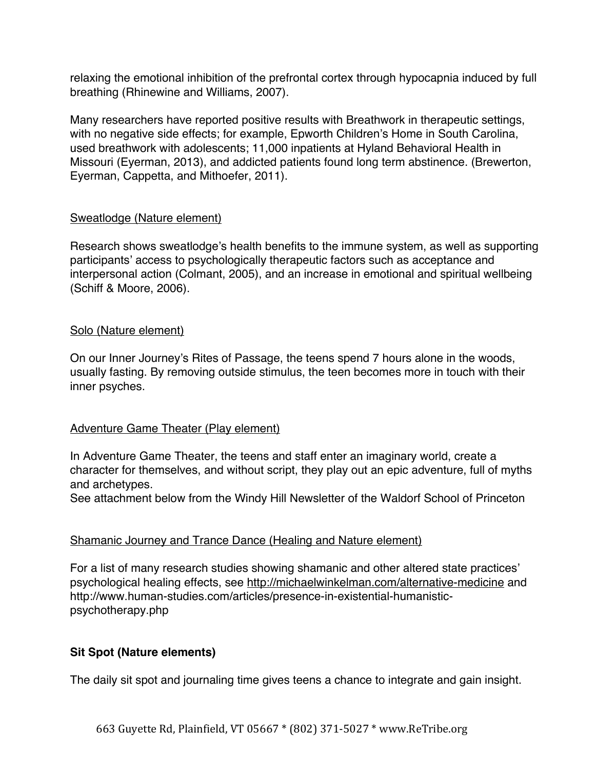relaxing the emotional inhibition of the prefrontal cortex through hypocapnia induced by full breathing (Rhinewine and Williams, 2007).

Many researchers have reported positive results with Breathwork in therapeutic settings, with no negative side effects; for example, Epworth Children's Home in South Carolina, used breathwork with adolescents; 11,000 inpatients at Hyland Behavioral Health in Missouri (Eyerman, 2013), and addicted patients found long term abstinence. (Brewerton, Eyerman, Cappetta, and Mithoefer, 2011).

#### Sweatlodge (Nature element)

Research shows sweatlodge's health benefits to the immune system, as well as supporting participants' access to psychologically therapeutic factors such as acceptance and interpersonal action (Colmant, 2005), and an increase in emotional and spiritual wellbeing (Schiff & Moore, 2006).

#### Solo (Nature element)

On our Inner Journey's Rites of Passage, the teens spend 7 hours alone in the woods, usually fasting. By removing outside stimulus, the teen becomes more in touch with their inner psyches.

#### Adventure Game Theater (Play element)

In Adventure Game Theater, the teens and staff enter an imaginary world, create a character for themselves, and without script, they play out an epic adventure, full of myths and archetypes.

See attachment below from the Windy Hill Newsletter of the Waldorf School of Princeton

#### Shamanic Journey and Trance Dance (Healing and Nature element)

For a list of many research studies showing shamanic and other altered state practices' psychological healing effects, see http://michaelwinkelman.com/alternative-medicine and http://www.human-studies.com/articles/presence-in-existential-humanisticpsychotherapy.php

# **Sit Spot (Nature elements)**

The daily sit spot and journaling time gives teens a chance to integrate and gain insight.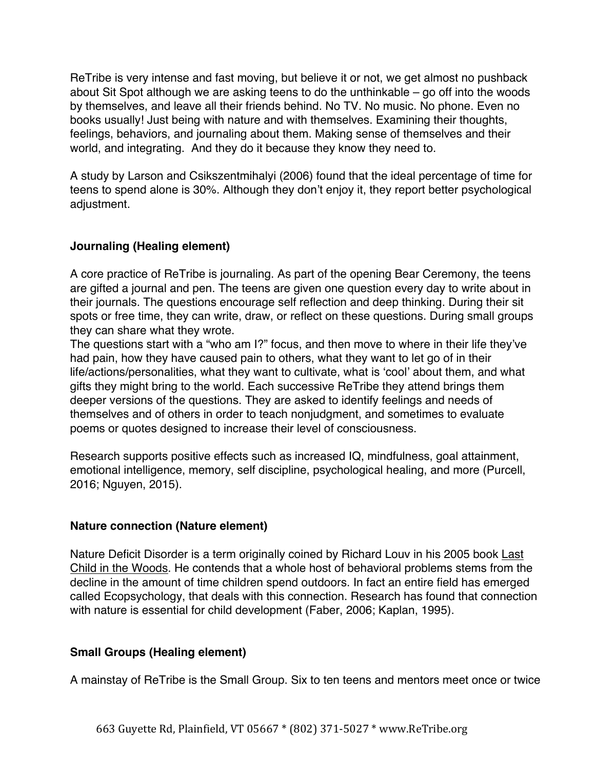ReTribe is very intense and fast moving, but believe it or not, we get almost no pushback about Sit Spot although we are asking teens to do the unthinkable – go off into the woods by themselves, and leave all their friends behind. No TV. No music. No phone. Even no books usually! Just being with nature and with themselves. Examining their thoughts, feelings, behaviors, and journaling about them. Making sense of themselves and their world, and integrating. And they do it because they know they need to.

A study by Larson and Csikszentmihalyi (2006) found that the ideal percentage of time for teens to spend alone is 30%. Although they don't enjoy it, they report better psychological adjustment.

# **Journaling (Healing element)**

A core practice of ReTribe is journaling. As part of the opening Bear Ceremony, the teens are gifted a journal and pen. The teens are given one question every day to write about in their journals. The questions encourage self reflection and deep thinking. During their sit spots or free time, they can write, draw, or reflect on these questions. During small groups they can share what they wrote.

The questions start with a "who am I?" focus, and then move to where in their life they've had pain, how they have caused pain to others, what they want to let go of in their life/actions/personalities, what they want to cultivate, what is 'cool' about them, and what gifts they might bring to the world. Each successive ReTribe they attend brings them deeper versions of the questions. They are asked to identify feelings and needs of themselves and of others in order to teach nonjudgment, and sometimes to evaluate poems or quotes designed to increase their level of consciousness.

Research supports positive effects such as increased IQ, mindfulness, goal attainment, emotional intelligence, memory, self discipline, psychological healing, and more (Purcell, 2016; Nguyen, 2015).

#### **Nature connection (Nature element)**

Nature Deficit Disorder is a term originally coined by Richard Louv in his 2005 book Last Child in the Woods. He contends that a whole host of behavioral problems stems from the decline in the amount of time children spend outdoors. In fact an entire field has emerged called Ecopsychology, that deals with this connection. Research has found that connection with nature is essential for child development (Faber, 2006; Kaplan, 1995).

# **Small Groups (Healing element)**

A mainstay of ReTribe is the Small Group. Six to ten teens and mentors meet once or twice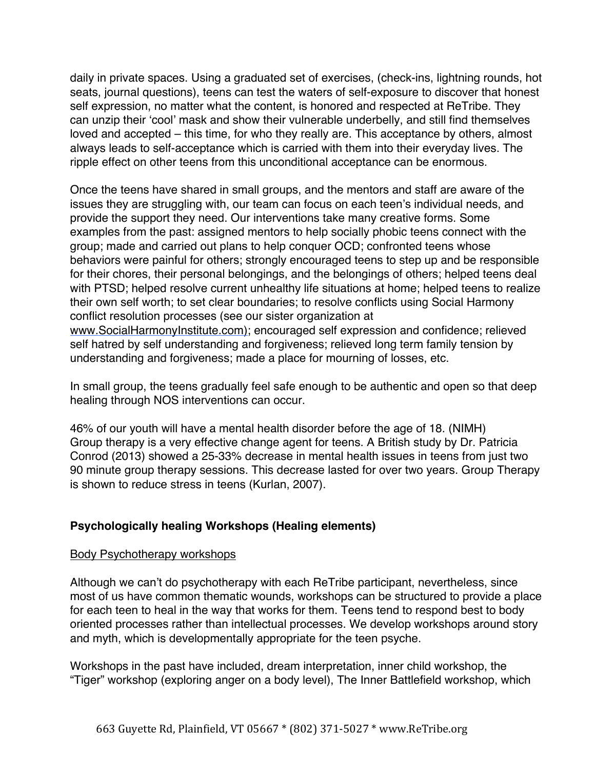daily in private spaces. Using a graduated set of exercises, (check-ins, lightning rounds, hot seats, journal questions), teens can test the waters of self-exposure to discover that honest self expression, no matter what the content, is honored and respected at ReTribe. They can unzip their 'cool' mask and show their vulnerable underbelly, and still find themselves loved and accepted – this time, for who they really are. This acceptance by others, almost always leads to self-acceptance which is carried with them into their everyday lives. The ripple effect on other teens from this unconditional acceptance can be enormous.

Once the teens have shared in small groups, and the mentors and staff are aware of the issues they are struggling with, our team can focus on each teen's individual needs, and provide the support they need. Our interventions take many creative forms. Some examples from the past: assigned mentors to help socially phobic teens connect with the group; made and carried out plans to help conquer OCD; confronted teens whose behaviors were painful for others; strongly encouraged teens to step up and be responsible for their chores, their personal belongings, and the belongings of others; helped teens deal with PTSD; helped resolve current unhealthy life situations at home; helped teens to realize their own self worth; to set clear boundaries; to resolve conflicts using Social Harmony conflict resolution processes (see our sister organization at www.SocialHarmonyInstitute.com); encouraged self expression and confidence; relieved self hatred by self understanding and forgiveness; relieved long term family tension by understanding and forgiveness; made a place for mourning of losses, etc.

In small group, the teens gradually feel safe enough to be authentic and open so that deep healing through NOS interventions can occur.

46% of our youth will have a mental health disorder before the age of 18. (NIMH) Group therapy is a very effective change agent for teens. A British study by Dr. Patricia Conrod (2013) showed a 25-33% decrease in mental health issues in teens from just two 90 minute group therapy sessions. This decrease lasted for over two years. Group Therapy is shown to reduce stress in teens (Kurlan, 2007).

# **Psychologically healing Workshops (Healing elements)**

#### Body Psychotherapy workshops

Although we can't do psychotherapy with each ReTribe participant, nevertheless, since most of us have common thematic wounds, workshops can be structured to provide a place for each teen to heal in the way that works for them. Teens tend to respond best to body oriented processes rather than intellectual processes. We develop workshops around story and myth, which is developmentally appropriate for the teen psyche.

Workshops in the past have included, dream interpretation, inner child workshop, the "Tiger" workshop (exploring anger on a body level), The Inner Battlefield workshop, which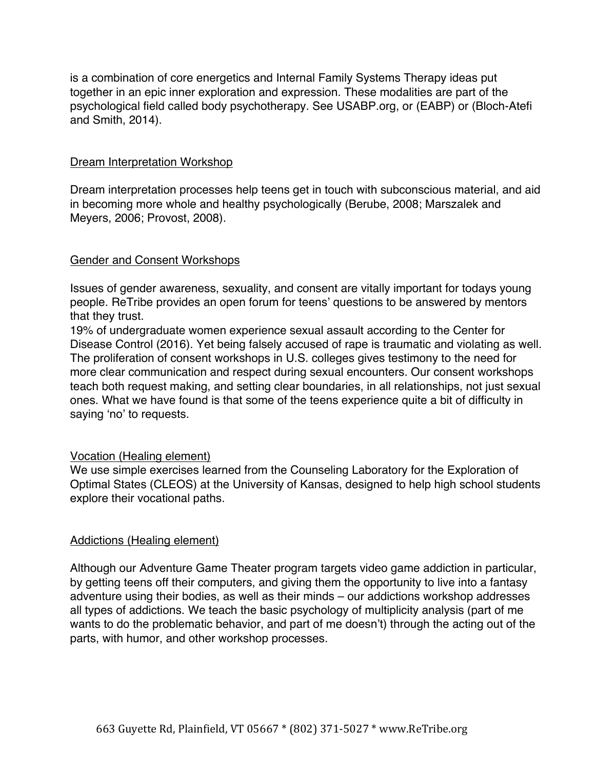is a combination of core energetics and Internal Family Systems Therapy ideas put together in an epic inner exploration and expression. These modalities are part of the psychological field called body psychotherapy. See USABP.org, or (EABP) or (Bloch-Atefi and Smith, 2014).

#### Dream Interpretation Workshop

Dream interpretation processes help teens get in touch with subconscious material, and aid in becoming more whole and healthy psychologically (Berube, 2008; Marszalek and Meyers, 2006; Provost, 2008).

#### Gender and Consent Workshops

Issues of gender awareness, sexuality, and consent are vitally important for todays young people. ReTribe provides an open forum for teens' questions to be answered by mentors that they trust.

19% of undergraduate women experience sexual assault according to the Center for Disease Control (2016). Yet being falsely accused of rape is traumatic and violating as well. The proliferation of consent workshops in U.S. colleges gives testimony to the need for more clear communication and respect during sexual encounters. Our consent workshops teach both request making, and setting clear boundaries, in all relationships, not just sexual ones. What we have found is that some of the teens experience quite a bit of difficulty in saying 'no' to requests.

#### Vocation (Healing element)

We use simple exercises learned from the Counseling Laboratory for the Exploration of Optimal States (CLEOS) at the University of Kansas, designed to help high school students explore their vocational paths.

#### Addictions (Healing element)

Although our Adventure Game Theater program targets video game addiction in particular, by getting teens off their computers, and giving them the opportunity to live into a fantasy adventure using their bodies, as well as their minds – our addictions workshop addresses all types of addictions. We teach the basic psychology of multiplicity analysis (part of me wants to do the problematic behavior, and part of me doesn't) through the acting out of the parts, with humor, and other workshop processes.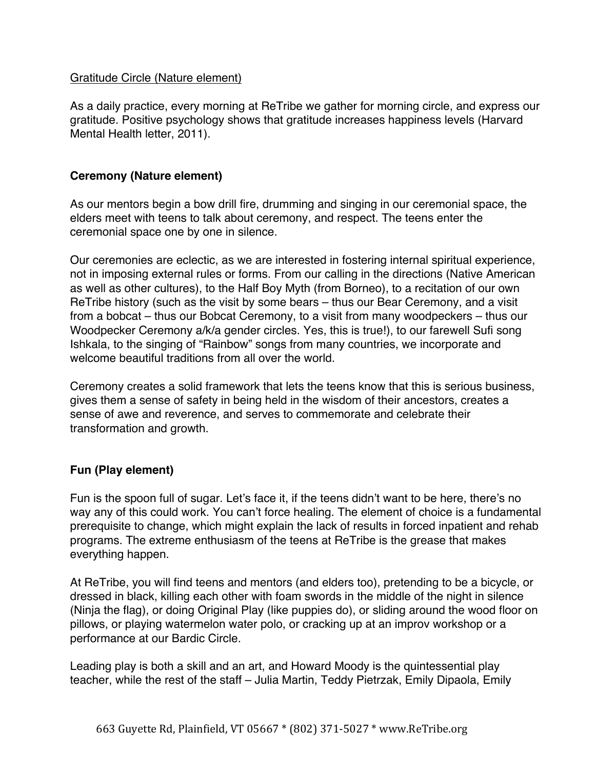#### Gratitude Circle (Nature element)

As a daily practice, every morning at ReTribe we gather for morning circle, and express our gratitude. Positive psychology shows that gratitude increases happiness levels (Harvard Mental Health letter, 2011).

## **Ceremony (Nature element)**

As our mentors begin a bow drill fire, drumming and singing in our ceremonial space, the elders meet with teens to talk about ceremony, and respect. The teens enter the ceremonial space one by one in silence.

Our ceremonies are eclectic, as we are interested in fostering internal spiritual experience, not in imposing external rules or forms. From our calling in the directions (Native American as well as other cultures), to the Half Boy Myth (from Borneo), to a recitation of our own ReTribe history (such as the visit by some bears – thus our Bear Ceremony, and a visit from a bobcat – thus our Bobcat Ceremony, to a visit from many woodpeckers – thus our Woodpecker Ceremony a/k/a gender circles. Yes, this is true!), to our farewell Sufi song Ishkala, to the singing of "Rainbow" songs from many countries, we incorporate and welcome beautiful traditions from all over the world.

Ceremony creates a solid framework that lets the teens know that this is serious business, gives them a sense of safety in being held in the wisdom of their ancestors, creates a sense of awe and reverence, and serves to commemorate and celebrate their transformation and growth.

# **Fun (Play element)**

Fun is the spoon full of sugar. Let's face it, if the teens didn't want to be here, there's no way any of this could work. You can't force healing. The element of choice is a fundamental prerequisite to change, which might explain the lack of results in forced inpatient and rehab programs. The extreme enthusiasm of the teens at ReTribe is the grease that makes everything happen.

At ReTribe, you will find teens and mentors (and elders too), pretending to be a bicycle, or dressed in black, killing each other with foam swords in the middle of the night in silence (Ninja the flag), or doing Original Play (like puppies do), or sliding around the wood floor on pillows, or playing watermelon water polo, or cracking up at an improv workshop or a performance at our Bardic Circle.

Leading play is both a skill and an art, and Howard Moody is the quintessential play teacher, while the rest of the staff – Julia Martin, Teddy Pietrzak, Emily Dipaola, Emily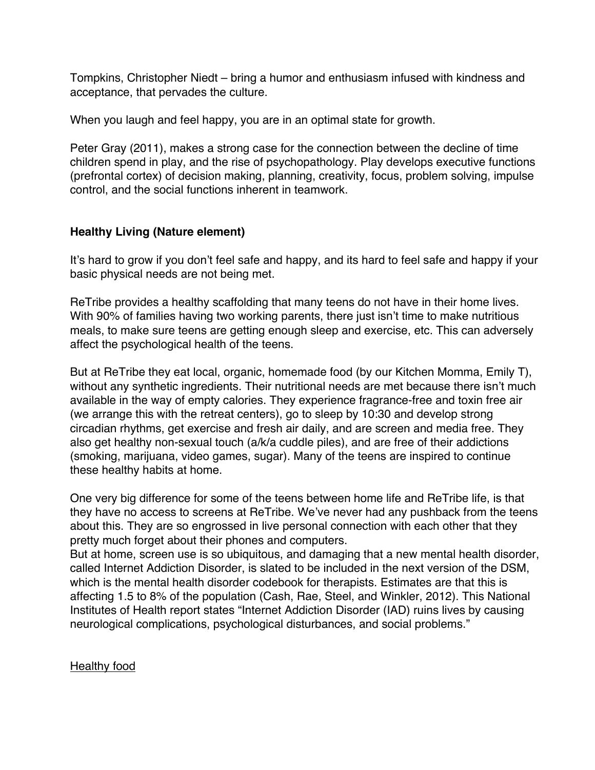Tompkins, Christopher Niedt – bring a humor and enthusiasm infused with kindness and acceptance, that pervades the culture.

When you laugh and feel happy, you are in an optimal state for growth.

Peter Gray (2011), makes a strong case for the connection between the decline of time children spend in play, and the rise of psychopathology. Play develops executive functions (prefrontal cortex) of decision making, planning, creativity, focus, problem solving, impulse control, and the social functions inherent in teamwork.

## **Healthy Living (Nature element)**

It's hard to grow if you don't feel safe and happy, and its hard to feel safe and happy if your basic physical needs are not being met.

ReTribe provides a healthy scaffolding that many teens do not have in their home lives. With 90% of families having two working parents, there just isn't time to make nutritious meals, to make sure teens are getting enough sleep and exercise, etc. This can adversely affect the psychological health of the teens.

But at ReTribe they eat local, organic, homemade food (by our Kitchen Momma, Emily T), without any synthetic ingredients. Their nutritional needs are met because there isn't much available in the way of empty calories. They experience fragrance-free and toxin free air (we arrange this with the retreat centers), go to sleep by 10:30 and develop strong circadian rhythms, get exercise and fresh air daily, and are screen and media free. They also get healthy non-sexual touch (a/k/a cuddle piles), and are free of their addictions (smoking, marijuana, video games, sugar). Many of the teens are inspired to continue these healthy habits at home.

One very big difference for some of the teens between home life and ReTribe life, is that they have no access to screens at ReTribe. We've never had any pushback from the teens about this. They are so engrossed in live personal connection with each other that they pretty much forget about their phones and computers.

But at home, screen use is so ubiquitous, and damaging that a new mental health disorder, called Internet Addiction Disorder, is slated to be included in the next version of the DSM, which is the mental health disorder codebook for therapists. Estimates are that this is affecting 1.5 to 8% of the population (Cash, Rae, Steel, and Winkler, 2012). This National Institutes of Health report states "Internet Addiction Disorder (IAD) ruins lives by causing neurological complications, psychological disturbances, and social problems."

**Healthy food**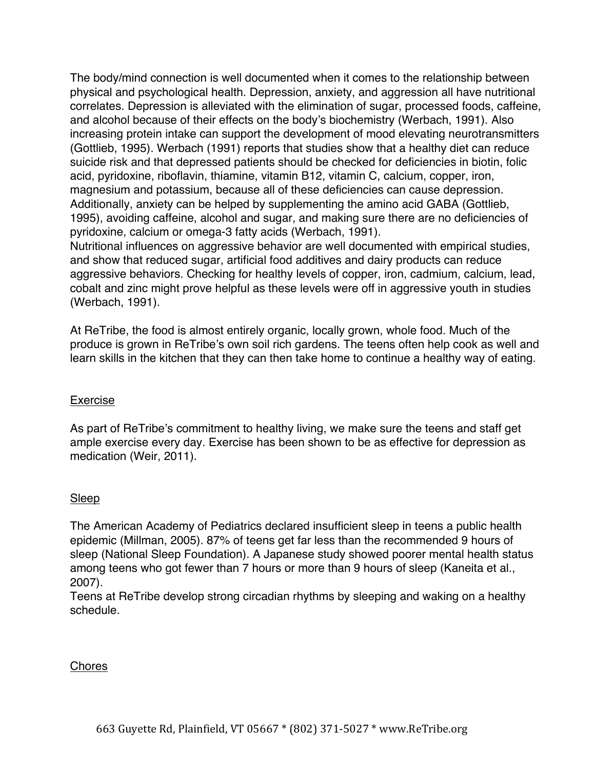The body/mind connection is well documented when it comes to the relationship between physical and psychological health. Depression, anxiety, and aggression all have nutritional correlates. Depression is alleviated with the elimination of sugar, processed foods, caffeine, and alcohol because of their effects on the body's biochemistry (Werbach, 1991). Also increasing protein intake can support the development of mood elevating neurotransmitters (Gottlieb, 1995). Werbach (1991) reports that studies show that a healthy diet can reduce suicide risk and that depressed patients should be checked for deficiencies in biotin, folic acid, pyridoxine, riboflavin, thiamine, vitamin B12, vitamin C, calcium, copper, iron, magnesium and potassium, because all of these deficiencies can cause depression. Additionally, anxiety can be helped by supplementing the amino acid GABA (Gottlieb, 1995), avoiding caffeine, alcohol and sugar, and making sure there are no deficiencies of pyridoxine, calcium or omega-3 fatty acids (Werbach, 1991).

Nutritional influences on aggressive behavior are well documented with empirical studies, and show that reduced sugar, artificial food additives and dairy products can reduce aggressive behaviors. Checking for healthy levels of copper, iron, cadmium, calcium, lead, cobalt and zinc might prove helpful as these levels were off in aggressive youth in studies (Werbach, 1991).

At ReTribe, the food is almost entirely organic, locally grown, whole food. Much of the produce is grown in ReTribe's own soil rich gardens. The teens often help cook as well and learn skills in the kitchen that they can then take home to continue a healthy way of eating.

#### Exercise

As part of ReTribe's commitment to healthy living, we make sure the teens and staff get ample exercise every day. Exercise has been shown to be as effective for depression as medication (Weir, 2011).

# Sleep

The American Academy of Pediatrics declared insufficient sleep in teens a public health epidemic (Millman, 2005). 87% of teens get far less than the recommended 9 hours of sleep (National Sleep Foundation). A Japanese study showed poorer mental health status among teens who got fewer than 7 hours or more than 9 hours of sleep (Kaneita et al., 2007).

Teens at ReTribe develop strong circadian rhythms by sleeping and waking on a healthy schedule.

# Chores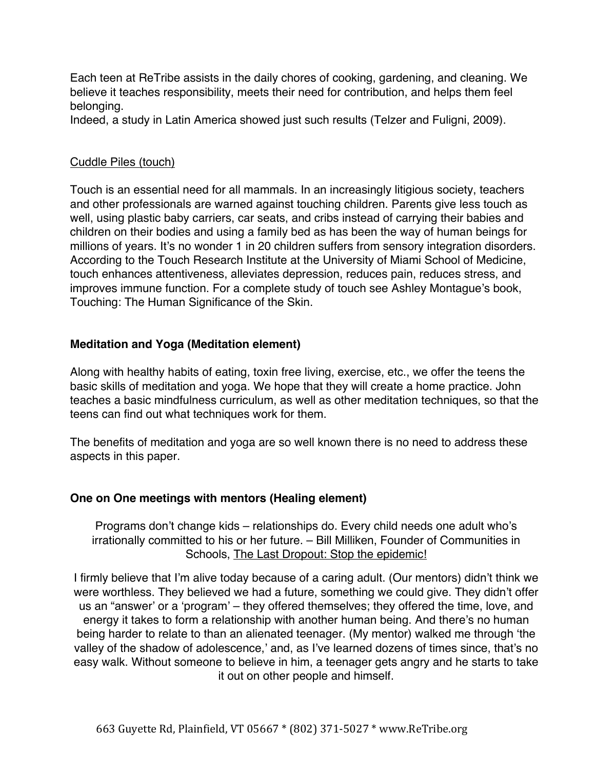Each teen at ReTribe assists in the daily chores of cooking, gardening, and cleaning. We believe it teaches responsibility, meets their need for contribution, and helps them feel belonging.

Indeed, a study in Latin America showed just such results (Telzer and Fuligni, 2009).

## Cuddle Piles (touch)

Touch is an essential need for all mammals. In an increasingly litigious society, teachers and other professionals are warned against touching children. Parents give less touch as well, using plastic baby carriers, car seats, and cribs instead of carrying their babies and children on their bodies and using a family bed as has been the way of human beings for millions of years. It's no wonder 1 in 20 children suffers from sensory integration disorders. According to the Touch Research Institute at the University of Miami School of Medicine, touch enhances attentiveness, alleviates depression, reduces pain, reduces stress, and improves immune function. For a complete study of touch see Ashley Montague's book, Touching: The Human Significance of the Skin.

## **Meditation and Yoga (Meditation element)**

Along with healthy habits of eating, toxin free living, exercise, etc., we offer the teens the basic skills of meditation and yoga. We hope that they will create a home practice. John teaches a basic mindfulness curriculum, as well as other meditation techniques, so that the teens can find out what techniques work for them.

The benefits of meditation and yoga are so well known there is no need to address these aspects in this paper.

#### **One on One meetings with mentors (Healing element)**

Programs don't change kids – relationships do. Every child needs one adult who's irrationally committed to his or her future. – Bill Milliken, Founder of Communities in Schools, The Last Dropout: Stop the epidemic!

I firmly believe that I'm alive today because of a caring adult. (Our mentors) didn't think we were worthless. They believed we had a future, something we could give. They didn't offer us an "answer' or a 'program' – they offered themselves; they offered the time, love, and energy it takes to form a relationship with another human being. And there's no human being harder to relate to than an alienated teenager. (My mentor) walked me through 'the valley of the shadow of adolescence,' and, as I've learned dozens of times since, that's no easy walk. Without someone to believe in him, a teenager gets angry and he starts to take it out on other people and himself.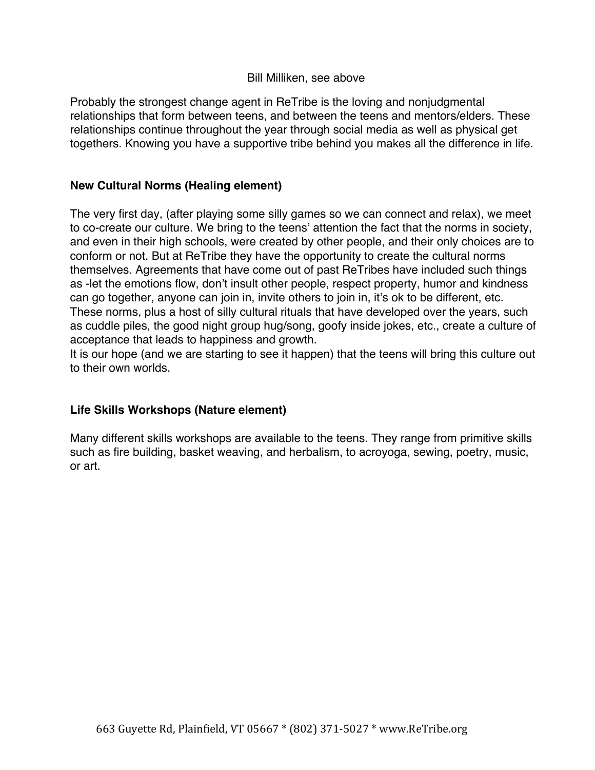#### Bill Milliken, see above

Probably the strongest change agent in ReTribe is the loving and nonjudgmental relationships that form between teens, and between the teens and mentors/elders. These relationships continue throughout the year through social media as well as physical get togethers. Knowing you have a supportive tribe behind you makes all the difference in life.

#### **New Cultural Norms (Healing element)**

The very first day, (after playing some silly games so we can connect and relax), we meet to co-create our culture. We bring to the teens' attention the fact that the norms in society, and even in their high schools, were created by other people, and their only choices are to conform or not. But at ReTribe they have the opportunity to create the cultural norms themselves. Agreements that have come out of past ReTribes have included such things as -let the emotions flow, don't insult other people, respect property, humor and kindness can go together, anyone can join in, invite others to join in, it's ok to be different, etc. These norms, plus a host of silly cultural rituals that have developed over the years, such as cuddle piles, the good night group hug/song, goofy inside jokes, etc., create a culture of acceptance that leads to happiness and growth.

It is our hope (and we are starting to see it happen) that the teens will bring this culture out to their own worlds.

#### **Life Skills Workshops (Nature element)**

Many different skills workshops are available to the teens. They range from primitive skills such as fire building, basket weaving, and herbalism, to acroyoga, sewing, poetry, music, or art.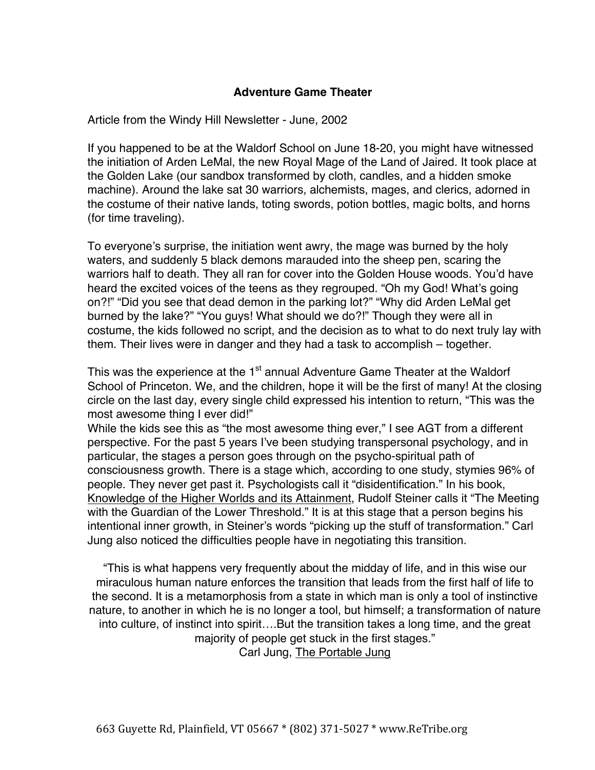## **Adventure Game Theater**

Article from the Windy Hill Newsletter - June, 2002

If you happened to be at the Waldorf School on June 18-20, you might have witnessed the initiation of Arden LeMal, the new Royal Mage of the Land of Jaired. It took place at the Golden Lake (our sandbox transformed by cloth, candles, and a hidden smoke machine). Around the lake sat 30 warriors, alchemists, mages, and clerics, adorned in the costume of their native lands, toting swords, potion bottles, magic bolts, and horns (for time traveling).

To everyone's surprise, the initiation went awry, the mage was burned by the holy waters, and suddenly 5 black demons marauded into the sheep pen, scaring the warriors half to death. They all ran for cover into the Golden House woods. You'd have heard the excited voices of the teens as they regrouped. "Oh my God! What's going on?!" "Did you see that dead demon in the parking lot?" "Why did Arden LeMal get burned by the lake?" "You guys! What should we do?!" Though they were all in costume, the kids followed no script, and the decision as to what to do next truly lay with them. Their lives were in danger and they had a task to accomplish – together.

This was the experience at the 1<sup>st</sup> annual Adventure Game Theater at the Waldorf School of Princeton. We, and the children, hope it will be the first of many! At the closing circle on the last day, every single child expressed his intention to return, "This was the most awesome thing I ever did!"

While the kids see this as "the most awesome thing ever," I see AGT from a different perspective. For the past 5 years I've been studying transpersonal psychology, and in particular, the stages a person goes through on the psycho-spiritual path of consciousness growth. There is a stage which, according to one study, stymies 96% of people. They never get past it. Psychologists call it "disidentification." In his book, Knowledge of the Higher Worlds and its Attainment, Rudolf Steiner calls it "The Meeting with the Guardian of the Lower Threshold." It is at this stage that a person begins his intentional inner growth, in Steiner's words "picking up the stuff of transformation." Carl Jung also noticed the difficulties people have in negotiating this transition.

"This is what happens very frequently about the midday of life, and in this wise our miraculous human nature enforces the transition that leads from the first half of life to the second. It is a metamorphosis from a state in which man is only a tool of instinctive nature, to another in which he is no longer a tool, but himself; a transformation of nature into culture, of instinct into spirit….But the transition takes a long time, and the great majority of people get stuck in the first stages." Carl Jung, The Portable Jung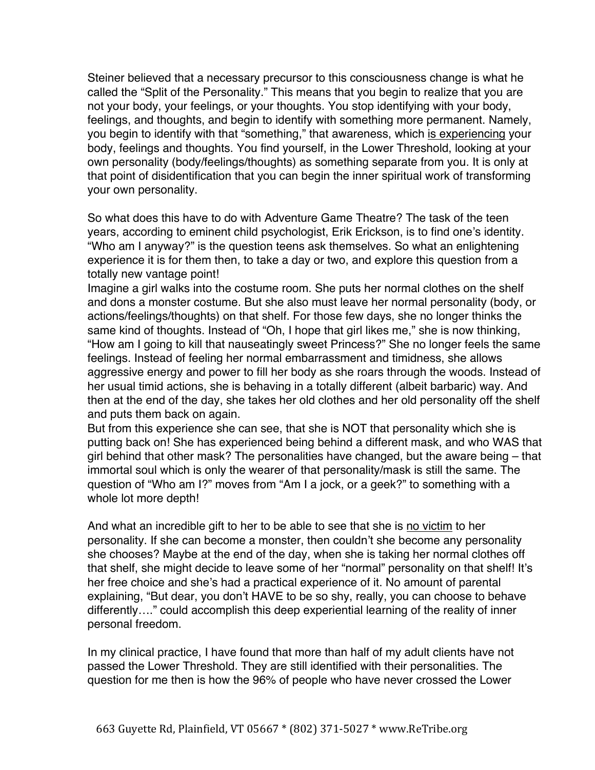Steiner believed that a necessary precursor to this consciousness change is what he called the "Split of the Personality." This means that you begin to realize that you are not your body, your feelings, or your thoughts. You stop identifying with your body, feelings, and thoughts, and begin to identify with something more permanent. Namely, you begin to identify with that "something," that awareness, which is experiencing your body, feelings and thoughts. You find yourself, in the Lower Threshold, looking at your own personality (body/feelings/thoughts) as something separate from you. It is only at that point of disidentification that you can begin the inner spiritual work of transforming your own personality.

So what does this have to do with Adventure Game Theatre? The task of the teen years, according to eminent child psychologist, Erik Erickson, is to find one's identity. "Who am I anyway?" is the question teens ask themselves. So what an enlightening experience it is for them then, to take a day or two, and explore this question from a totally new vantage point!

Imagine a girl walks into the costume room. She puts her normal clothes on the shelf and dons a monster costume. But she also must leave her normal personality (body, or actions/feelings/thoughts) on that shelf. For those few days, she no longer thinks the same kind of thoughts. Instead of "Oh, I hope that girl likes me," she is now thinking, "How am I going to kill that nauseatingly sweet Princess?" She no longer feels the same feelings. Instead of feeling her normal embarrassment and timidness, she allows aggressive energy and power to fill her body as she roars through the woods. Instead of her usual timid actions, she is behaving in a totally different (albeit barbaric) way. And then at the end of the day, she takes her old clothes and her old personality off the shelf and puts them back on again.

But from this experience she can see, that she is NOT that personality which she is putting back on! She has experienced being behind a different mask, and who WAS that girl behind that other mask? The personalities have changed, but the aware being – that immortal soul which is only the wearer of that personality/mask is still the same. The question of "Who am I?" moves from "Am I a jock, or a geek?" to something with a whole lot more depth!

And what an incredible gift to her to be able to see that she is no victim to her personality. If she can become a monster, then couldn't she become any personality she chooses? Maybe at the end of the day, when she is taking her normal clothes off that shelf, she might decide to leave some of her "normal" personality on that shelf! It's her free choice and she's had a practical experience of it. No amount of parental explaining, "But dear, you don't HAVE to be so shy, really, you can choose to behave differently…." could accomplish this deep experiential learning of the reality of inner personal freedom.

In my clinical practice, I have found that more than half of my adult clients have not passed the Lower Threshold. They are still identified with their personalities. The question for me then is how the 96% of people who have never crossed the Lower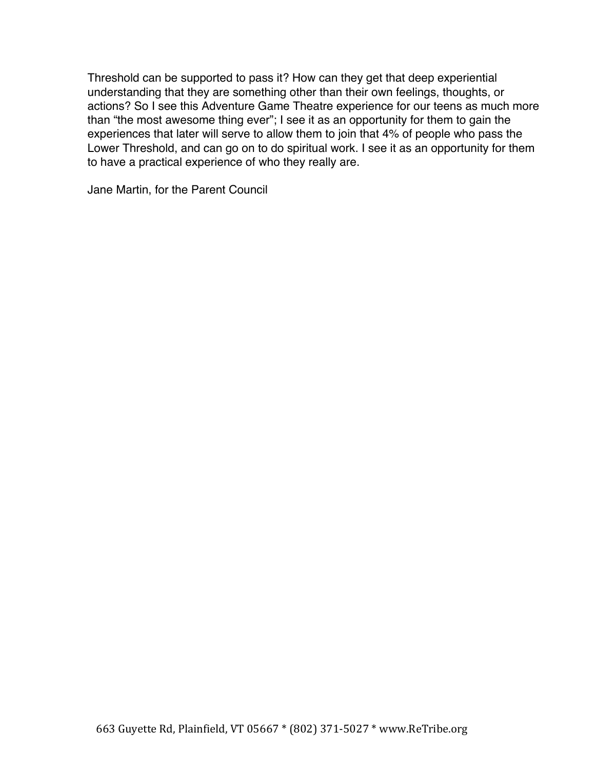Threshold can be supported to pass it? How can they get that deep experiential understanding that they are something other than their own feelings, thoughts, or actions? So I see this Adventure Game Theatre experience for our teens as much more than "the most awesome thing ever"; I see it as an opportunity for them to gain the experiences that later will serve to allow them to join that 4% of people who pass the Lower Threshold, and can go on to do spiritual work. I see it as an opportunity for them to have a practical experience of who they really are.

Jane Martin, for the Parent Council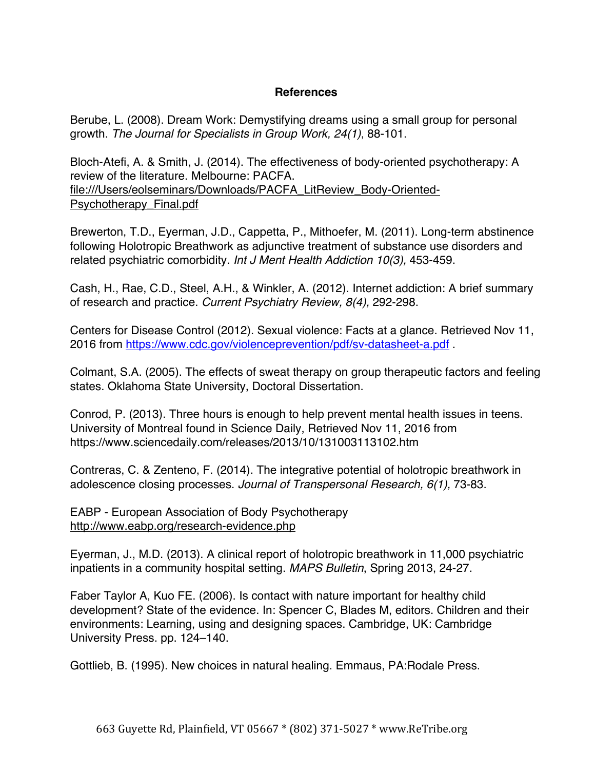## **References**

Berube, L. (2008). Dream Work: Demystifying dreams using a small group for personal growth. *The Journal for Specialists in Group Work, 24(1)*, 88-101.

Bloch-Atefi, A. & Smith, J. (2014). The effectiveness of body-oriented psychotherapy: A review of the literature. Melbourne: PACFA. file:///Users/eolseminars/Downloads/PACFA\_LitReview\_Body-Oriented-Psychotherapy\_Final.pdf

Brewerton, T.D., Eyerman, J.D., Cappetta, P., Mithoefer, M. (2011). Long-term abstinence following Holotropic Breathwork as adjunctive treatment of substance use disorders and related psychiatric comorbidity. *Int J Ment Health Addiction 10(3),* 453-459.

Cash, H., Rae, C.D., Steel, A.H., & Winkler, A. (2012). Internet addiction: A brief summary of research and practice. *Current Psychiatry Review, 8(4),* 292-298.

Centers for Disease Control (2012). Sexual violence: Facts at a glance. Retrieved Nov 11, 2016 from https://www.cdc.gov/violenceprevention/pdf/sv-datasheet-a.pdf .

Colmant, S.A. (2005). The effects of sweat therapy on group therapeutic factors and feeling states. Oklahoma State University, Doctoral Dissertation.

Conrod, P. (2013). Three hours is enough to help prevent mental health issues in teens. University of Montreal found in Science Daily, Retrieved Nov 11, 2016 from https://www.sciencedaily.com/releases/2013/10/131003113102.htm

Contreras, C. & Zenteno, F. (2014). The integrative potential of holotropic breathwork in adolescence closing processes. *Journal of Transpersonal Research, 6(1),* 73-83.

EABP - European Association of Body Psychotherapy http://www.eabp.org/research-evidence.php

Eyerman, J., M.D. (2013). A clinical report of holotropic breathwork in 11,000 psychiatric inpatients in a community hospital setting. *MAPS Bulletin*, Spring 2013, 24-27.

Faber Taylor A, Kuo FE. (2006). Is contact with nature important for healthy child development? State of the evidence. In: Spencer C, Blades M, editors. Children and their environments: Learning, using and designing spaces. Cambridge, UK: Cambridge University Press. pp. 124–140.

Gottlieb, B. (1995). New choices in natural healing. Emmaus, PA:Rodale Press.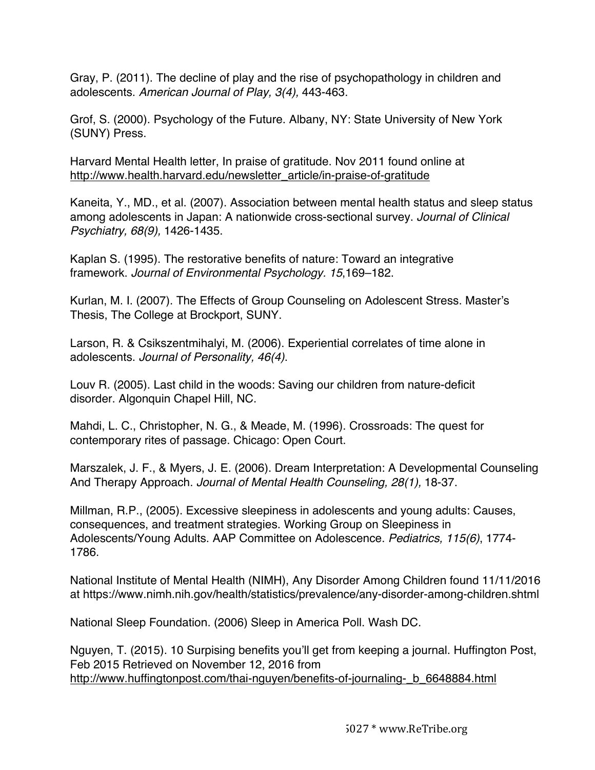Gray, P. (2011). The decline of play and the rise of psychopathology in children and adolescents. *American Journal of Play, 3(4),* 443-463.

Grof, S. (2000). Psychology of the Future. Albany, NY: State University of New York (SUNY) Press.

Harvard Mental Health letter, In praise of gratitude. Nov 2011 found online at http://www.health.harvard.edu/newsletter\_article/in-praise-of-gratitude

Kaneita, Y., MD., et al. (2007). Association between mental health status and sleep status among adolescents in Japan: A nationwide cross-sectional survey. *Journal of Clinical Psychiatry, 68(9),* 1426-1435.

Kaplan S. (1995). The restorative benefits of nature: Toward an integrative framework. *Journal of Environmental Psychology. 15*,169–182.

Kurlan, M. I. (2007). The Effects of Group Counseling on Adolescent Stress. Master's Thesis, The College at Brockport, SUNY.

Larson, R. & Csikszentmihalyi, M. (2006). Experiential correlates of time alone in adolescents. *Journal of Personality, 46(4)*.

Louv R. (2005). Last child in the woods: Saving our children from nature-deficit disorder. Algonquin Chapel Hill, NC.

Mahdi, L. C., Christopher, N. G., & Meade, M. (1996). Crossroads: The quest for contemporary rites of passage. Chicago: Open Court.

Marszalek, J. F., & Myers, J. E. (2006). Dream Interpretation: A Developmental Counseling And Therapy Approach. *Journal of Mental Health Counseling, 28(1),* 18-37.

Millman, R.P., (2005). Excessive sleepiness in adolescents and young adults: Causes, consequences, and treatment strategies. Working Group on Sleepiness in Adolescents/Young Adults. AAP Committee on Adolescence. *Pediatrics, 115(6)*, 1774- 1786.

National Institute of Mental Health (NIMH), Any Disorder Among Children found 11/11/2016 at https://www.nimh.nih.gov/health/statistics/prevalence/any-disorder-among-children.shtml

National Sleep Foundation. (2006) Sleep in America Poll. Wash DC.

Nguyen, T. (2015). 10 Surpising benefits you'll get from keeping a journal. Huffington Post, Feb 2015 Retrieved on November 12, 2016 from http://www.huffingtonpost.com/thai-nguyen/benefits-of-journaling- b 6648884.html